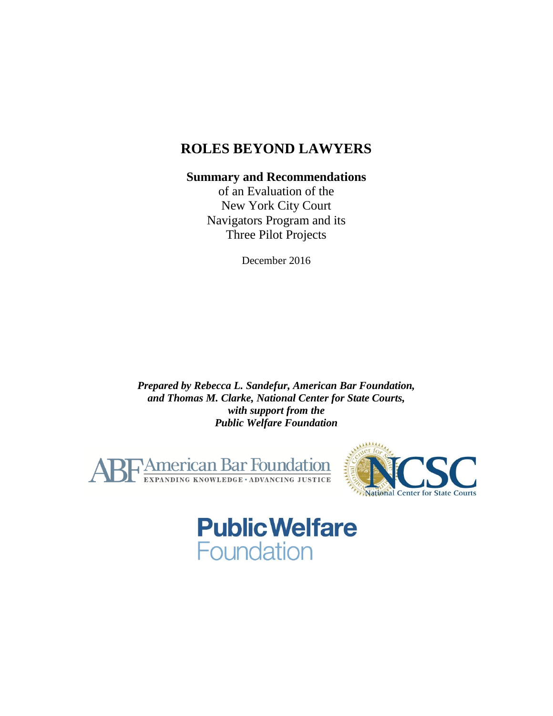# **ROLES BEYOND LAWYERS**

### **Summary and Recommendations**

of an Evaluation of the New York City Court Navigators Program and its Three Pilot Projects

December 2016

*Prepared by Rebecca L. Sandefur, American Bar Foundation, and Thomas M. Clarke, National Center for State Courts, with support from the Public Welfare Foundation*





# **Public Welfare** Foundation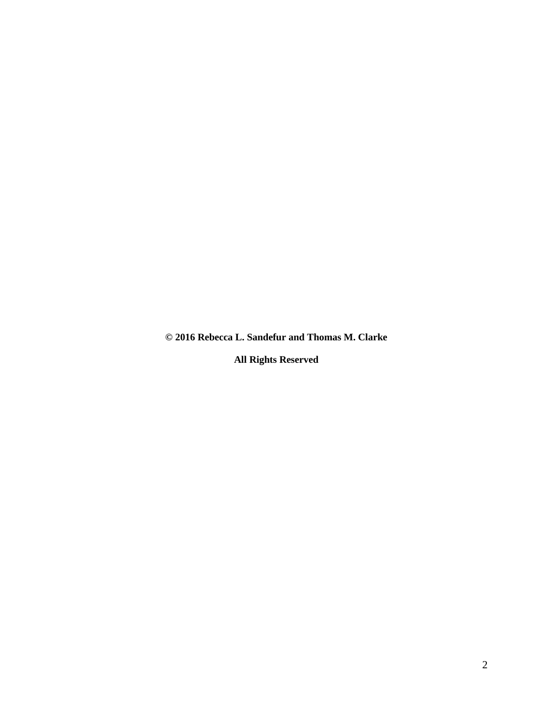**© 2016 Rebecca L. Sandefur and Thomas M. Clarke** 

**All Rights Reserved**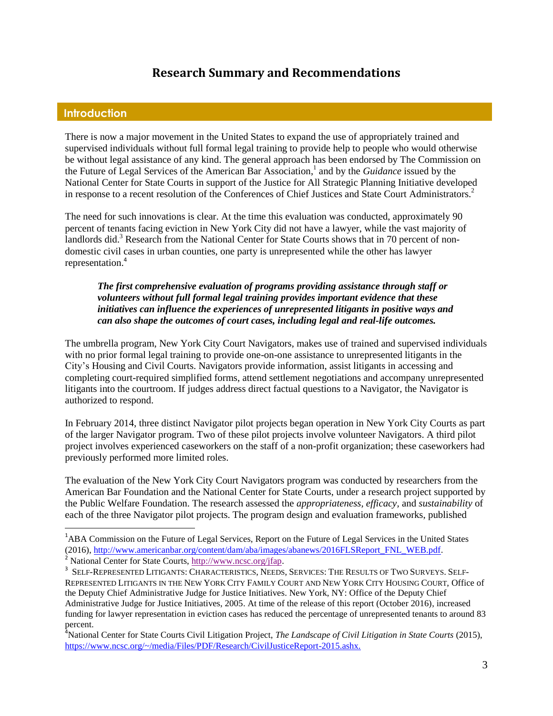## **Research Summary and Recommendations**

#### **Introduction**

 $\overline{a}$ 

There is now a major movement in the United States to expand the use of appropriately trained and supervised individuals without full formal legal training to provide help to people who would otherwise be without legal assistance of any kind. The general approach has been endorsed by The Commission on the Future of Legal Services of the American Bar Association, 1 and by the *Guidance* issued by the National Center for State Courts in support of the Justice for All Strategic Planning Initiative developed in response to a recent resolution of the Conferences of Chief Justices and State Court Administrators.<sup>2</sup>

The need for such innovations is clear. At the time this evaluation was conducted, approximately 90 percent of tenants facing eviction in New York City did not have a lawyer, while the vast majority of landlords did.<sup>3</sup> Research from the National Center for State Courts shows that in 70 percent of nondomestic civil cases in urban counties, one party is unrepresented while the other has lawyer representation.<sup>4</sup>

#### *The first comprehensive evaluation of programs providing assistance through staff or volunteers without full formal legal training provides important evidence that these initiatives can influence the experiences of unrepresented litigants in positive ways and can also shape the outcomes of court cases, including legal and real-life outcomes.*

The umbrella program, New York City Court Navigators, makes use of trained and supervised individuals with no prior formal legal training to provide one-on-one assistance to unrepresented litigants in the City's Housing and Civil Courts. Navigators provide information, assist litigants in accessing and completing court-required simplified forms, attend settlement negotiations and accompany unrepresented litigants into the courtroom. If judges address direct factual questions to a Navigator, the Navigator is authorized to respond.

In February 2014, three distinct Navigator pilot projects began operation in New York City Courts as part of the larger Navigator program. Two of these pilot projects involve volunteer Navigators. A third pilot project involves experienced caseworkers on the staff of a non-profit organization; these caseworkers had previously performed more limited roles.

The evaluation of the New York City Court Navigators program was conducted by researchers from the American Bar Foundation and the National Center for State Courts, under a research project supported by the Public Welfare Foundation. The research assessed the *appropriateness, efficacy,* and *sustainability* of each of the three Navigator pilot projects. The program design and evaluation frameworks, published

<sup>&</sup>lt;sup>1</sup>ABA Commission on the Future of Legal Services, Report on the Future of Legal Services in the United States (2016)[, http://www.americanbar.org/content/dam/aba/images/abanews/2016FLSReport\\_FNL\\_WEB.pdf](http://www.americanbar.org/content/dam/aba/images/abanews/2016FLSReport_FNL_WEB.pdf). <sup>2</sup> National Center for State Courts, [http://www.ncsc.org/jfap.](http://www.ncsc.org/jfap)

 $^3$  Self-Represented Litigants: Characteristics, Needs, Services: The Results of Two Surveys. Self-REPRESENTED LITIGANTS IN THE NEW YORK CITY FAMILY COURT AND NEW YORK CITY HOUSING COURT, Office of the Deputy Chief Administrative Judge for Justice Initiatives. New York, NY: Office of the Deputy Chief Administrative Judge for Justice Initiatives, 2005. At time of the release of this report (October 2016), increased funding for lawyer representation in eviction cases has reduced the percentage of unrepresented tenants to around 83 percent.

<sup>&</sup>lt;sup>4</sup>National Center for State Courts Civil Litigation Project, *The Landscape of Civil Litigation in State Courts* (2015), https://www.ncsc.org/~/media/Files/PDF/Research/CivilJusticeReport-2015.ashx.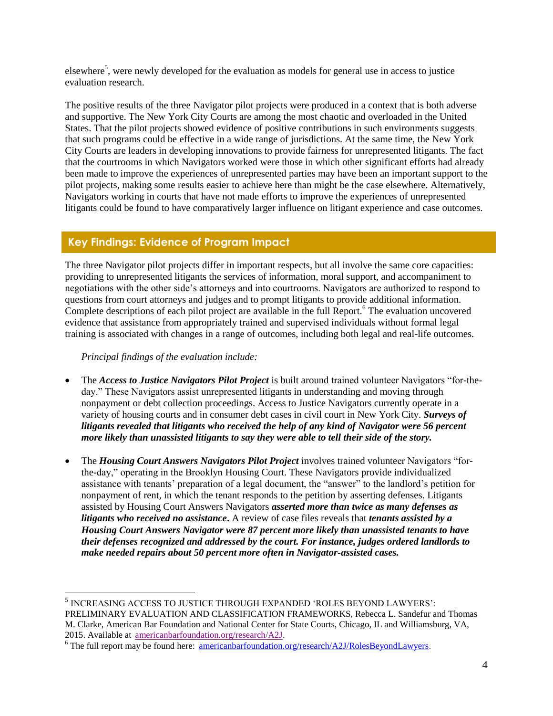elsewhere<sup>5</sup>, were newly developed for the evaluation as models for general use in access to justice evaluation research.

The positive results of the three Navigator pilot projects were produced in a context that is both adverse and supportive. The New York City Courts are among the most chaotic and overloaded in the United States. That the pilot projects showed evidence of positive contributions in such environments suggests that such programs could be effective in a wide range of jurisdictions. At the same time, the New York City Courts are leaders in developing innovations to provide fairness for unrepresented litigants. The fact that the courtrooms in which Navigators worked were those in which other significant efforts had already been made to improve the experiences of unrepresented parties may have been an important support to the pilot projects, making some results easier to achieve here than might be the case elsewhere. Alternatively, Navigators working in courts that have not made efforts to improve the experiences of unrepresented litigants could be found to have comparatively larger influence on litigant experience and case outcomes.

#### **Key Findings: Evidence of Program Impact**

The three Navigator pilot projects differ in important respects, but all involve the same core capacities: providing to unrepresented litigants the services of information, moral support, and accompaniment to negotiations with the other side's attorneys and into courtrooms. Navigators are authorized to respond to questions from court attorneys and judges and to prompt litigants to provide additional information. Complete descriptions of each pilot project are available in the full Report.<sup>6</sup> The evaluation uncovered evidence that assistance from appropriately trained and supervised individuals without formal legal training is associated with changes in a range of outcomes, including both legal and real-life outcomes.

*Principal findings of the evaluation include:*

 $\overline{a}$ 

- The *Access to Justice Navigators Pilot Project* is built around trained volunteer Navigators "for-theday." These Navigators assist unrepresented litigants in understanding and moving through nonpayment or debt collection proceedings. Access to Justice Navigators currently operate in a variety of housing courts and in consumer debt cases in civil court in New York City. *Surveys of litigants revealed that litigants who received the help of any kind of Navigator were 56 percent more likely than unassisted litigants to say they were able to tell their side of the story.*
- The *Housing Court Answers Navigators Pilot Project* involves trained volunteer Navigators "forthe-day," operating in the Brooklyn Housing Court. These Navigators provide individualized assistance with tenants' preparation of a legal document, the "answer" to the landlord's petition for nonpayment of rent, in which the tenant responds to the petition by asserting defenses. Litigants assisted by Housing Court Answers Navigators *asserted more than twice as many defenses as litigants who received no assistance***.** A review of case files reveals that *tenants assisted by a Housing Court Answers Navigator were 87 percent more likely than unassisted tenants to have their defenses recognized and addressed by the court. For instance, judges ordered landlords to make needed repairs about 50 percent more often in Navigator-assisted cases.*

 $^5$  INCREASING ACCESS TO JUSTICE THROUGH EXPANDED 'ROLES BEYOND LAWYERS': PRELIMINARY EVALUATION AND CLASSIFICATION FRAMEWORKS, Rebecca L. Sandefur and Thomas M. Clarke, American Bar Foundation and National Center for State Courts, Chicago, IL and Williamsburg, VA, 2015. Available at [americanbarfoundation.org/research/A2J](http://www.americanbarfoundation.org/research/A2J).

 $6$  The full report may be found here:  $\frac{americanbarfoundation.org/research/A2J/RolesBeyondLaw (energy)$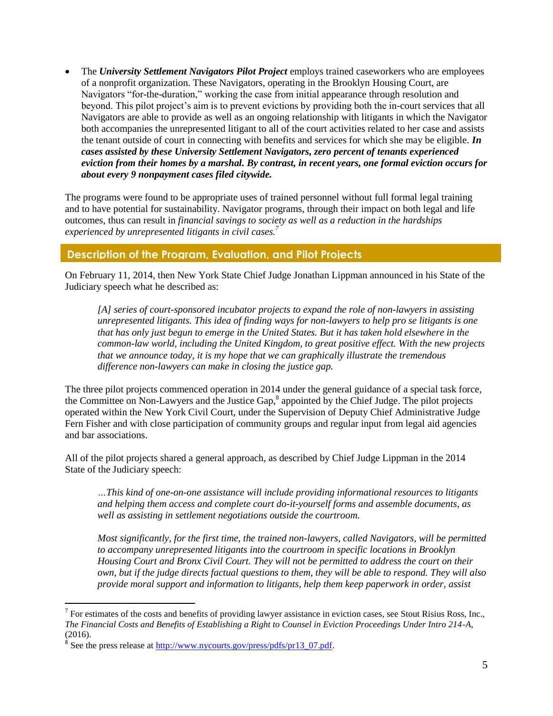The *University Settlement Navigators Pilot Project* employs trained caseworkers who are employees of a nonprofit organization. These Navigators, operating in the Brooklyn Housing Court, are Navigators "for-the-duration," working the case from initial appearance through resolution and beyond. This pilot project's aim is to prevent evictions by providing both the in-court services that all Navigators are able to provide as well as an ongoing relationship with litigants in which the Navigator both accompanies the unrepresented litigant to all of the court activities related to her case and assists the tenant outside of court in connecting with benefits and services for which she may be eligible. *In cases assisted by these University Settlement Navigators, zero percent of tenants experienced eviction from their homes by a marshal. By contrast, in recent years, one formal eviction occurs for about every 9 nonpayment cases filed citywide.* 

The programs were found to be appropriate uses of trained personnel without full formal legal training and to have potential for sustainability. Navigator programs, through their impact on both legal and life outcomes, thus can result in *financial savings to society as well as a reduction in the hardships experienced by unrepresented litigants in civil cases.<sup>7</sup>*

#### **Description of the Program, Evaluation, and Pilot Projects**

On February 11, 2014, then New York State Chief Judge Jonathan Lippman announced in his State of the Judiciary speech what he described as:

*[A] series of court-sponsored incubator projects to expand the role of non-lawyers in assisting unrepresented litigants. This idea of finding ways for non-lawyers to help pro se litigants is one that has only just begun to emerge in the United States. But it has taken hold elsewhere in the common-law world, including the United Kingdom, to great positive effect. With the new projects that we announce today, it is my hope that we can graphically illustrate the tremendous difference non-lawyers can make in closing the justice gap.* 

The three pilot projects commenced operation in 2014 under the general guidance of a special task force, the Committee on Non-Lawyers and the Justice Gap,<sup>8</sup> appointed by the Chief Judge. The pilot projects operated within the New York Civil Court, under the Supervision of Deputy Chief Administrative Judge Fern Fisher and with close participation of community groups and regular input from legal aid agencies and bar associations.

All of the pilot projects shared a general approach, as described by Chief Judge Lippman in the 2014 State of the Judiciary speech:

*…This kind of one-on-one assistance will include providing informational resources to litigants and helping them access and complete court do-it-yourself forms and assemble documents, as well as assisting in settlement negotiations outside the courtroom.* 

*Most significantly, for the first time, the trained non-lawyers, called Navigators, will be permitted to accompany unrepresented litigants into the courtroom in specific locations in Brooklyn Housing Court and Bronx Civil Court. They will not be permitted to address the court on their own, but if the judge directs factual questions to them, they will be able to respond. They will also provide moral support and information to litigants, help them keep paperwork in order, assist* 

<sup>&</sup>lt;sup>7</sup> For estimates of the costs and benefits of providing lawyer assistance in eviction cases, see Stout Risius Ross, Inc., *The Financial Costs and Benefits of Establishing a Right to Counsel in Eviction Proceedings Under Intro 214-A*, (2016).

<sup>&</sup>lt;sup>8</sup> See the press release at [http://www.nycourts.gov/press/pdfs/pr13\\_07.pdf.](http://www.nycourts.gov/press/pdfs/pr13_07.pdf)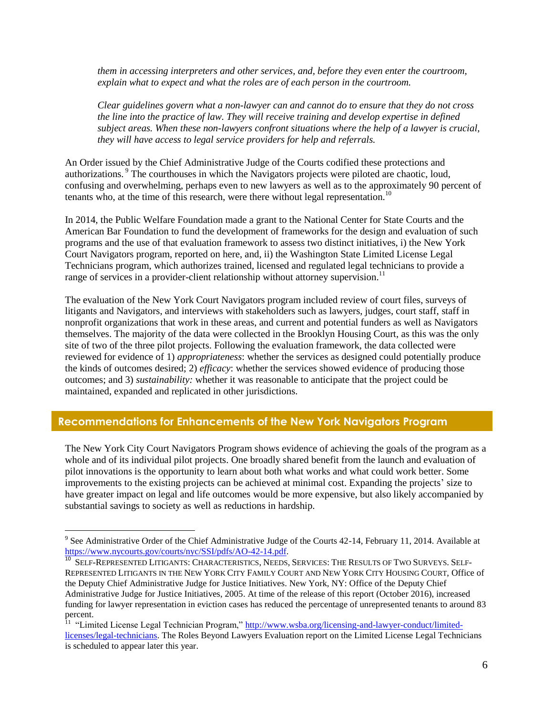*them in accessing interpreters and other services, and, before they even enter the courtroom, explain what to expect and what the roles are of each person in the courtroom.* 

*Clear guidelines govern what a non-lawyer can and cannot do to ensure that they do not cross the line into the practice of law. They will receive training and develop expertise in defined subject areas. When these non-lawyers confront situations where the help of a lawyer is crucial, they will have access to legal service providers for help and referrals.* 

An Order issued by the Chief Administrative Judge of the Courts codified these protections and authorizations.<sup>9</sup> The courthouses in which the Navigators projects were piloted are chaotic, loud, confusing and overwhelming, perhaps even to new lawyers as well as to the approximately 90 percent of tenants who, at the time of this research, were there without legal representation.<sup>10</sup>

In 2014, the Public Welfare Foundation made a grant to the National Center for State Courts and the American Bar Foundation to fund the development of frameworks for the design and evaluation of such programs and the use of that evaluation framework to assess two distinct initiatives, i) the New York Court Navigators program, reported on here, and, ii) the Washington State Limited License Legal Technicians program, which authorizes trained, licensed and regulated legal technicians to provide a range of services in a provider-client relationship without attorney supervision.<sup>11</sup>

The evaluation of the New York Court Navigators program included review of court files, surveys of litigants and Navigators, and interviews with stakeholders such as lawyers, judges, court staff, staff in nonprofit organizations that work in these areas, and current and potential funders as well as Navigators themselves. The majority of the data were collected in the Brooklyn Housing Court, as this was the only site of two of the three pilot projects. Following the evaluation framework, the data collected were reviewed for evidence of 1) *appropriateness*: whether the services as designed could potentially produce the kinds of outcomes desired; 2) *efficacy*: whether the services showed evidence of producing those outcomes; and 3) *sustainability:* whether it was reasonable to anticipate that the project could be maintained, expanded and replicated in other jurisdictions.

#### **Recommendations for Enhancements of the New York Navigators Program**

 $\overline{a}$ 

The New York City Court Navigators Program shows evidence of achieving the goals of the program as a whole and of its individual pilot projects. One broadly shared benefit from the launch and evaluation of pilot innovations is the opportunity to learn about both what works and what could work better. Some improvements to the existing projects can be achieved at minimal cost. Expanding the projects' size to have greater impact on legal and life outcomes would be more expensive, but also likely accompanied by substantial savings to society as well as reductions in hardship.

 $9^9$  See Administrative Order of the Chief Administrative Judge of the Courts 42-14, February 11, 2014. Available at [https://www.nycourts.gov/courts/nyc/SSI/pdfs/AO-42-14.pdf.](https://www.nycourts.gov/courts/nyc/SSI/pdfs/AO-42-14.pdf)<br><sup>10</sup>. Set e Bennesenten Litto (Nite Citab Citabacter)

SELF-REPRESENTED LITIGANTS: CHARACTERISTICS, NEEDS, SERVICES: THE RESULTS OF TWO SURVEYS. SELF-REPRESENTED LITIGANTS IN THE NEW YORK CITY FAMILY COURT AND NEW YORK CITY HOUSING COURT, Office of the Deputy Chief Administrative Judge for Justice Initiatives. New York, NY: Office of the Deputy Chief Administrative Judge for Justice Initiatives, 2005. At time of the release of this report (October 2016), increased funding for lawyer representation in eviction cases has reduced the percentage of unrepresented tenants to around 83

percent.<br><sup>11</sup> "Limited License Legal Technician Program," [http://www.wsba.org/licensing-and-lawyer-conduct/limited](http://www.wsba.org/licensing-and-lawyer-conduct/limited-licenses/legal-technicians)[licenses/legal-technicians.](http://www.wsba.org/licensing-and-lawyer-conduct/limited-licenses/legal-technicians) The Roles Beyond Lawyers Evaluation report on the Limited License Legal Technicians is scheduled to appear later this year.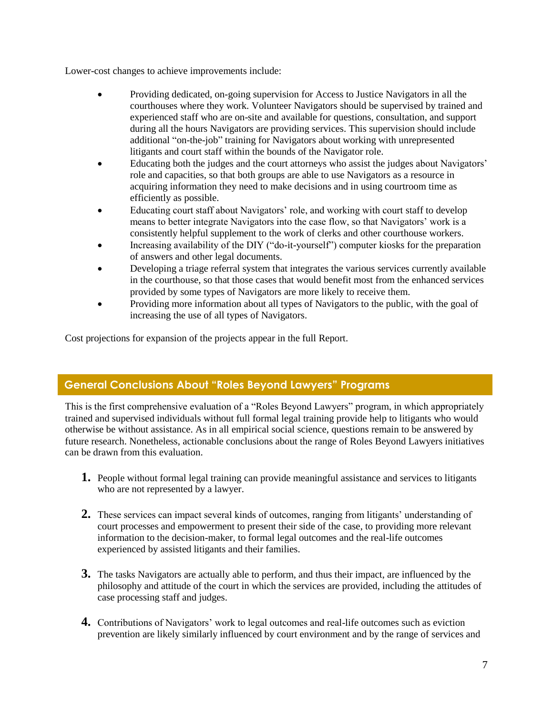Lower-cost changes to achieve improvements include:

- Providing dedicated, on-going supervision for Access to Justice Navigators in all the courthouses where they work. Volunteer Navigators should be supervised by trained and experienced staff who are on-site and available for questions, consultation, and support during all the hours Navigators are providing services. This supervision should include additional "on-the-job" training for Navigators about working with unrepresented litigants and court staff within the bounds of the Navigator role.
- Educating both the judges and the court attorneys who assist the judges about Navigators' role and capacities, so that both groups are able to use Navigators as a resource in acquiring information they need to make decisions and in using courtroom time as efficiently as possible.
- Educating court staff about Navigators' role, and working with court staff to develop means to better integrate Navigators into the case flow, so that Navigators' work is a consistently helpful supplement to the work of clerks and other courthouse workers.
- Increasing availability of the DIY ("do-it-yourself") computer kiosks for the preparation of answers and other legal documents.
- Developing a triage referral system that integrates the various services currently available in the courthouse, so that those cases that would benefit most from the enhanced services provided by some types of Navigators are more likely to receive them.
- Providing more information about all types of Navigators to the public, with the goal of increasing the use of all types of Navigators.

Cost projections for expansion of the projects appear in the full Report.

## **General Conclusions About "Roles Beyond Lawyers" Programs**

This is the first comprehensive evaluation of a "Roles Beyond Lawyers" program, in which appropriately trained and supervised individuals without full formal legal training provide help to litigants who would otherwise be without assistance. As in all empirical social science, questions remain to be answered by future research. Nonetheless, actionable conclusions about the range of Roles Beyond Lawyers initiatives can be drawn from this evaluation.

- **1.** People without formal legal training can provide meaningful assistance and services to litigants who are not represented by a lawyer.
- **2.** These services can impact several kinds of outcomes, ranging from litigants' understanding of court processes and empowerment to present their side of the case, to providing more relevant information to the decision-maker, to formal legal outcomes and the real-life outcomes experienced by assisted litigants and their families.
- **3.** The tasks Navigators are actually able to perform, and thus their impact, are influenced by the philosophy and attitude of the court in which the services are provided, including the attitudes of case processing staff and judges.
- **4.** Contributions of Navigators' work to legal outcomes and real-life outcomes such as eviction prevention are likely similarly influenced by court environment and by the range of services and